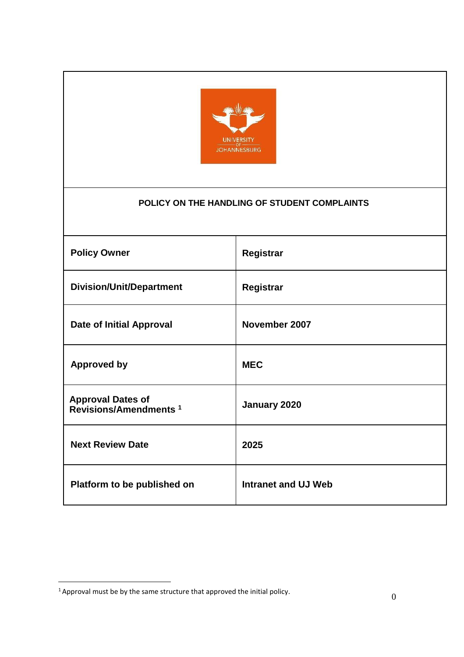

# **POLICY ON THE HANDLING OF STUDENT COMPLAINTS**

| <b>Policy Owner</b>                                           | Registrar                  |
|---------------------------------------------------------------|----------------------------|
| <b>Division/Unit/Department</b>                               | Registrar                  |
| <b>Date of Initial Approval</b>                               | November 2007              |
| <b>Approved by</b>                                            | <b>MEC</b>                 |
| <b>Approval Dates of</b><br>Revisions/Amendments <sup>1</sup> | January 2020               |
| <b>Next Review Date</b>                                       | 2025                       |
| Platform to be published on                                   | <b>Intranet and UJ Web</b> |

<sup>&</sup>lt;sup>1</sup> Approval must be by the same structure that approved the initial policy.  $\qquad \qquad 0$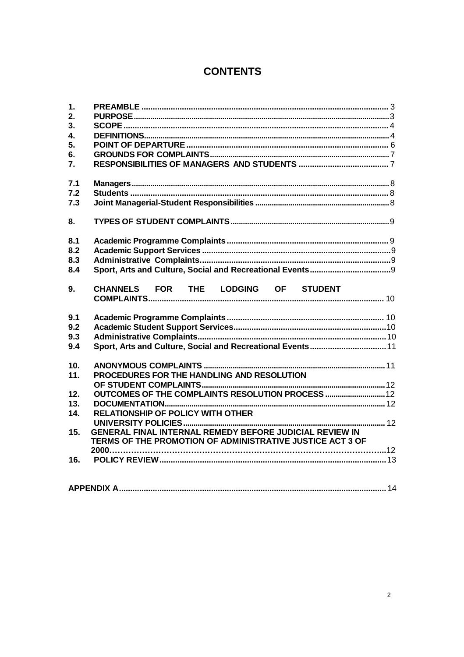# **CONTENTS**

| $\mathbf 1$ .<br>2.<br>3. |                                                                                                                             |  |
|---------------------------|-----------------------------------------------------------------------------------------------------------------------------|--|
| 4.                        |                                                                                                                             |  |
| 5.                        |                                                                                                                             |  |
| 6.                        |                                                                                                                             |  |
| $\overline{7}$ .          |                                                                                                                             |  |
| 7.1                       |                                                                                                                             |  |
| 7.2                       |                                                                                                                             |  |
| 7.3                       |                                                                                                                             |  |
| 8.                        |                                                                                                                             |  |
| 8.1                       |                                                                                                                             |  |
| 8.2                       |                                                                                                                             |  |
| 8.3                       |                                                                                                                             |  |
| 8.4                       |                                                                                                                             |  |
| 9.                        | CHANNELS FOR THE LODGING OF STUDENT                                                                                         |  |
| 9.1                       |                                                                                                                             |  |
| 9.2                       |                                                                                                                             |  |
| 9.3                       |                                                                                                                             |  |
| 9.4                       | Sport, Arts and Culture, Social and Recreational Events 11                                                                  |  |
| 10.                       |                                                                                                                             |  |
| 11.                       | PROCEDURES FOR THE HANDLING AND RESOLUTION                                                                                  |  |
|                           |                                                                                                                             |  |
| 12.                       |                                                                                                                             |  |
| 13.                       |                                                                                                                             |  |
| 14.                       | RELATIONSHIP OF POLICY WITH OTHER                                                                                           |  |
| 15.                       | <b>GENERAL FINAL INTERNAL REMEDY BEFORE JUDICIAL REVIEW IN</b><br>TERMS OF THE PROMOTION OF ADMINISTRATIVE JUSTICE ACT 3 OF |  |
| 16.                       |                                                                                                                             |  |
|                           |                                                                                                                             |  |
|                           |                                                                                                                             |  |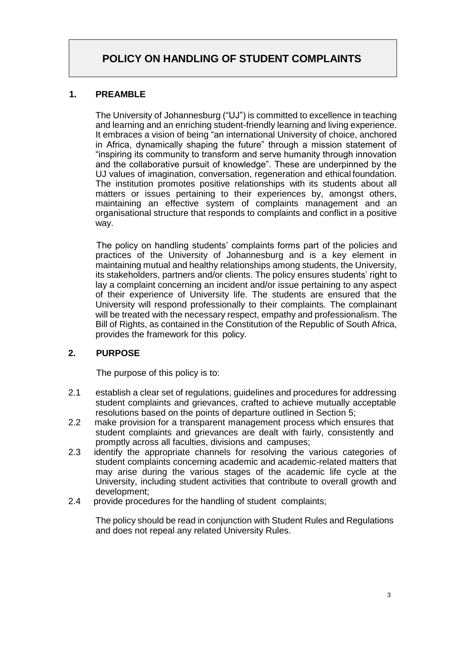# **POLICY ON HANDLING OF STUDENT COMPLAINTS**

#### <span id="page-2-0"></span>**1. PREAMBLE**

The University of Johannesburg ("UJ") is committed to excellence in teaching and learning and an enriching student-friendly learning and living experience. It embraces a vision of being "an international University of choice, anchored in Africa, dynamically shaping the future" through a mission statement of "inspiring its community to transform and serve humanity through innovation and the collaborative pursuit of knowledge". These are underpinned by the UJ values of imagination, conversation, regeneration and ethical foundation. The institution promotes positive relationships with its students about all matters or issues pertaining to their experiences by, amongst others, maintaining an effective system of complaints management and an organisational structure that responds to complaints and conflict in a positive way.

The policy on handling students' complaints forms part of the policies and practices of the University of Johannesburg and is a key element in maintaining mutual and healthy relationships among students, the University, its stakeholders, partners and/or clients. The policy ensures students' right to lay a complaint concerning an incident and/or issue pertaining to any aspect of their experience of University life. The students are ensured that the University will respond professionally to their complaints. The complainant will be treated with the necessary respect, empathy and professionalism. The Bill of Rights, as contained in the Constitution of the Republic of South Africa, provides the framework for this policy.

# <span id="page-2-1"></span>**2. PURPOSE**

The purpose of this policy is to:

- 2.1 establish a clear set of regulations, guidelines and procedures for addressing student complaints and grievances, crafted to achieve mutually acceptable resolutions based on the points of departure outlined in Section 5;
- 2.2 make provision for a transparent management process which ensures that student complaints and grievances are dealt with fairly, consistently and promptly across all faculties, divisions and campuses;
- 2.3 identify the appropriate channels for resolving the various categories of student complaints concerning academic and academic-related matters that may arise during the various stages of the academic life cycle at the University, including student activities that contribute to overall growth and development;
- 2.4 provide procedures for the handling of student complaints;

The policy should be read in conjunction with Student Rules and Regulations and does not repeal any related University Rules.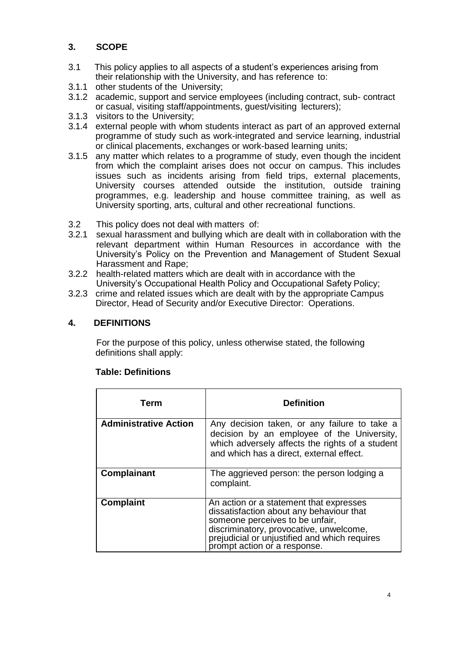# <span id="page-3-0"></span>**3. SCOPE**

- 3.1 This policy applies to all aspects of a student's experiences arising from their relationship with the University, and has reference to:
- 3.1.1 other students of the University;
- 3.1.2 academic, support and service employees (including contract, sub- contract or casual, visiting staff/appointments, guest/visiting lecturers);
- 3.1.3 visitors to the University;
- 3.1.4 external people with whom students interact as part of an approved external programme of study such as work-integrated and service learning, industrial or clinical placements, exchanges or work-based learning units;
- 3.1.5 any matter which relates to a programme of study, even though the incident from which the complaint arises does not occur on campus. This includes issues such as incidents arising from field trips, external placements, University courses attended outside the institution, outside training programmes, e.g. leadership and house committee training, as well as University sporting, arts, cultural and other recreational functions.
- 3.2 This policy does not deal with matters of:
- 3.2.1 sexual harassment and bullying which are dealt with in collaboration with the relevant department within Human Resources in accordance with the University's Policy on the Prevention and Management of Student Sexual Harassment and Rape;
- 3.2.2 health-related matters which are dealt with in accordance with the University's Occupational Health Policy and Occupational Safety Policy;
- 3.2.3 crime and related issues which are dealt with by the appropriate Campus Director, Head of Security and/or Executive Director: Operations.

# <span id="page-3-1"></span>**4. DEFINITIONS**

For the purpose of this policy, unless otherwise stated, the following definitions shall apply:

| <b>Term</b>                  | <b>Definition</b>                                                                                                                                                                                                                                  |
|------------------------------|----------------------------------------------------------------------------------------------------------------------------------------------------------------------------------------------------------------------------------------------------|
| <b>Administrative Action</b> | Any decision taken, or any failure to take a<br>decision by an employee of the University,<br>which adversely affects the rights of a student<br>and which has a direct, external effect.                                                          |
| <b>Complainant</b>           | The aggrieved person: the person lodging a<br>complaint.                                                                                                                                                                                           |
| <b>Complaint</b>             | An action or a statement that expresses<br>dissatisfaction about any behaviour that<br>someone perceives to be unfair,<br>discriminatory, provocative, unwelcome,<br>prejudicial or unjustified and which requires<br>prompt action or a response. |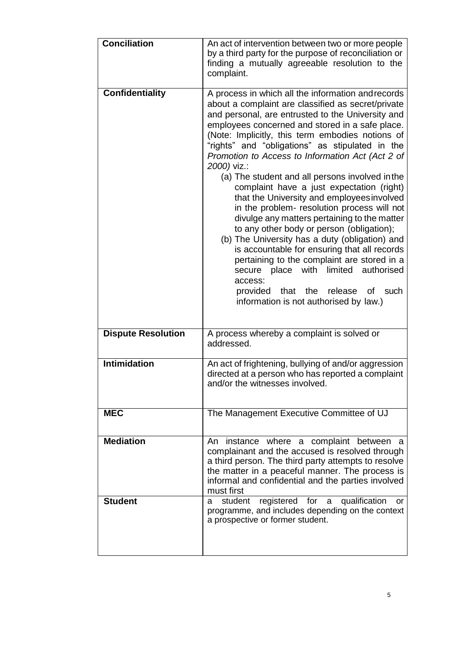| <b>Conciliation</b>       | An act of intervention between two or more people<br>by a third party for the purpose of reconciliation or<br>finding a mutually agreeable resolution to the<br>complaint.                                                                                                                                                                                                                                                                                                                                                                                                                                                                                                                                                                                                                                                                                                                                                                                                          |
|---------------------------|-------------------------------------------------------------------------------------------------------------------------------------------------------------------------------------------------------------------------------------------------------------------------------------------------------------------------------------------------------------------------------------------------------------------------------------------------------------------------------------------------------------------------------------------------------------------------------------------------------------------------------------------------------------------------------------------------------------------------------------------------------------------------------------------------------------------------------------------------------------------------------------------------------------------------------------------------------------------------------------|
| <b>Confidentiality</b>    | A process in which all the information and records<br>about a complaint are classified as secret/private<br>and personal, are entrusted to the University and<br>employees concerned and stored in a safe place.<br>(Note: Implicitly, this term embodies notions of<br>"rights" and "obligations" as stipulated in the<br>Promotion to Access to Information Act (Act 2 of<br>2000) viz.:<br>(a) The student and all persons involved in the<br>complaint have a just expectation (right)<br>that the University and employees involved<br>in the problem- resolution process will not<br>divulge any matters pertaining to the matter<br>to any other body or person (obligation);<br>(b) The University has a duty (obligation) and<br>is accountable for ensuring that all records<br>pertaining to the complaint are stored in a<br>place with limited<br>authorised<br>secure<br>access:<br>provided that the release<br>of<br>such<br>information is not authorised by law.) |
| <b>Dispute Resolution</b> | A process whereby a complaint is solved or<br>addressed.                                                                                                                                                                                                                                                                                                                                                                                                                                                                                                                                                                                                                                                                                                                                                                                                                                                                                                                            |
| <b>Intimidation</b>       | An act of frightening, bullying of and/or aggression<br>directed at a person who has reported a complaint<br>and/or the witnesses involved.                                                                                                                                                                                                                                                                                                                                                                                                                                                                                                                                                                                                                                                                                                                                                                                                                                         |
| <b>MEC</b>                | The Management Executive Committee of UJ                                                                                                                                                                                                                                                                                                                                                                                                                                                                                                                                                                                                                                                                                                                                                                                                                                                                                                                                            |
| <b>Mediation</b>          | An instance where a complaint between a<br>complainant and the accused is resolved through<br>a third person. The third party attempts to resolve<br>the matter in a peaceful manner. The process is<br>informal and confidential and the parties involved<br>must first                                                                                                                                                                                                                                                                                                                                                                                                                                                                                                                                                                                                                                                                                                            |
| <b>Student</b>            | registered for a<br>student<br>qualification<br>a<br>or<br>programme, and includes depending on the context<br>a prospective or former student.                                                                                                                                                                                                                                                                                                                                                                                                                                                                                                                                                                                                                                                                                                                                                                                                                                     |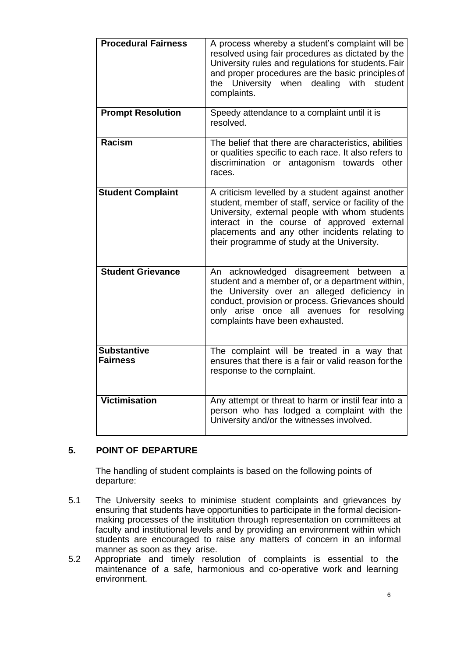| <b>Procedural Fairness</b>            | A process whereby a student's complaint will be<br>resolved using fair procedures as dictated by the<br>University rules and regulations for students. Fair<br>and proper procedures are the basic principles of<br>the University when dealing with student<br>complaints.                                 |
|---------------------------------------|-------------------------------------------------------------------------------------------------------------------------------------------------------------------------------------------------------------------------------------------------------------------------------------------------------------|
| <b>Prompt Resolution</b>              | Speedy attendance to a complaint until it is<br>resolved.                                                                                                                                                                                                                                                   |
| <b>Racism</b>                         | The belief that there are characteristics, abilities<br>or qualities specific to each race. It also refers to<br>discrimination or antagonism towards other<br>races.                                                                                                                                       |
| <b>Student Complaint</b>              | A criticism levelled by a student against another<br>student, member of staff, service or facility of the<br>University, external people with whom students<br>interact in the course of approved external<br>placements and any other incidents relating to<br>their programme of study at the University. |
| <b>Student Grievance</b>              | An acknowledged disagreement between<br>a<br>student and a member of, or a department within,<br>the University over an alleged deficiency in<br>conduct, provision or process. Grievances should<br>only arise once all avenues for resolving<br>complaints have been exhausted.                           |
| <b>Substantive</b><br><b>Fairness</b> | The complaint will be treated in a way that<br>ensures that there is a fair or valid reason for the<br>response to the complaint.                                                                                                                                                                           |
| <b>Victimisation</b>                  | Any attempt or threat to harm or instil fear into a<br>person who has lodged a complaint with the<br>University and/or the witnesses involved.                                                                                                                                                              |

# <span id="page-5-0"></span>**5. POINT OF DEPARTURE**

The handling of student complaints is based on the following points of departure:

- 5.1 The University seeks to minimise student complaints and grievances by ensuring that students have opportunities to participate in the formal decisionmaking processes of the institution through representation on committees at faculty and institutional levels and by providing an environment within which students are encouraged to raise any matters of concern in an informal manner as soon as they arise.
- 5.2 Appropriate and timely resolution of complaints is essential to the maintenance of a safe, harmonious and co-operative work and learning environment.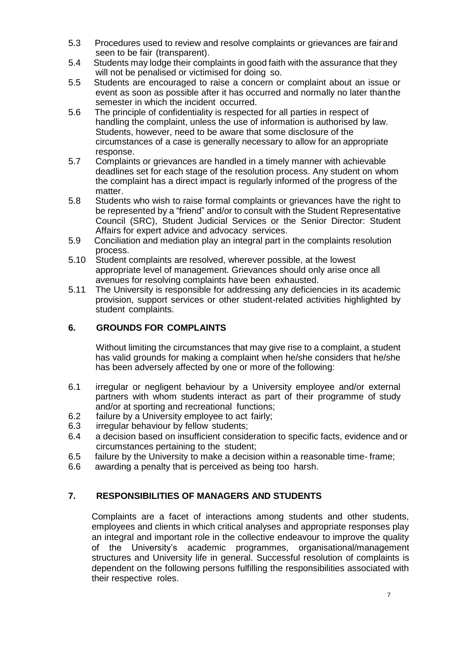- 5.3 Procedures used to review and resolve complaints or grievances are fairand seen to be fair (transparent).
- 5.4 Students may lodge their complaints in good faith with the assurance that they will not be penalised or victimised for doing so.
- 5.5 Students are encouraged to raise a concern or complaint about an issue or event as soon as possible after it has occurred and normally no later thanthe semester in which the incident occurred.
- 5.6 The principle of confidentiality is respected for all parties in respect of handling the complaint, unless the use of information is authorised by law. Students, however, need to be aware that some disclosure of the circumstances of a case is generally necessary to allow for an appropriate response.
- 5.7 Complaints or grievances are handled in a timely manner with achievable deadlines set for each stage of the resolution process. Any student on whom the complaint has a direct impact is regularly informed of the progress of the matter.
- 5.8 Students who wish to raise formal complaints or grievances have the right to be represented by a "friend" and/or to consult with the Student Representative Council (SRC), Student Judicial Services or the Senior Director: Student Affairs for expert advice and advocacy services.
- 5.9 Conciliation and mediation play an integral part in the complaints resolution process.
- 5.10 Student complaints are resolved, wherever possible, at the lowest appropriate level of management. Grievances should only arise once all avenues for resolving complaints have been exhausted.
- 5.11 The University is responsible for addressing any deficiencies in its academic provision, support services or other student-related activities highlighted by student complaints.

# <span id="page-6-0"></span>**6. GROUNDS FOR COMPLAINTS**

Without limiting the circumstances that may give rise to a complaint, a student has valid grounds for making a complaint when he/she considers that he/she has been adversely affected by one or more of the following:

- 6.1 irregular or negligent behaviour by a University employee and/or external partners with whom students interact as part of their programme of study and/or at sporting and recreational functions;
- 6.2 failure by a University employee to act fairly;
- 6.3 irregular behaviour by fellow students;
- 6.4 a decision based on insufficient consideration to specific facts, evidence and or circumstances pertaining to the student;
- 6.5 failure by the University to make a decision within a reasonable time- frame;
- 6.6 awarding a penalty that is perceived as being too harsh.

# <span id="page-6-1"></span>**7. RESPONSIBILITIES OF MANAGERS AND STUDENTS**

Complaints are a facet of interactions among students and other students, employees and clients in which critical analyses and appropriate responses play an integral and important role in the collective endeavour to improve the quality of the University's academic programmes, organisational/management structures and University life in general. Successful resolution of complaints is dependent on the following persons fulfilling the responsibilities associated with their respective roles.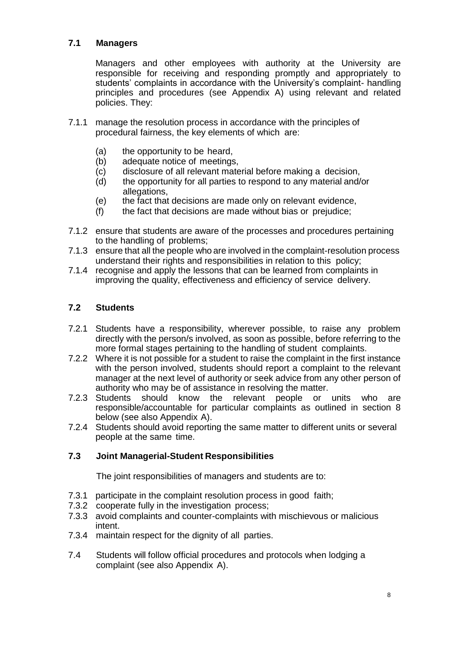# <span id="page-7-0"></span>**7.1 Managers**

Managers and other employees with authority at the University are responsible for receiving and responding promptly and appropriately to students' complaints in accordance with the University's complaint- handling principles and procedures (see Appendix A) using relevant and related policies. They:

- 7.1.1 manage the resolution process in accordance with the principles of procedural fairness, the key elements of which are:
	- (a) the opportunity to be heard,<br>(b) adequate notice of meetings
	- adequate notice of meetings,
	- (c) disclosure of all relevant material before making a decision,
	- (d) the opportunity for all parties to respond to any material and/or allegations,
	- (e) the fact that decisions are made only on relevant evidence,
	- (f) the fact that decisions are made without bias or prejudice;
- 7.1.2 ensure that students are aware of the processes and procedures pertaining to the handling of problems;
- 7.1.3 ensure that all the people who are involved in the complaint-resolution process understand their rights and responsibilities in relation to this policy;
- 7.1.4 recognise and apply the lessons that can be learned from complaints in improving the quality, effectiveness and efficiency of service delivery.

# <span id="page-7-1"></span>**7.2 Students**

- 7.2.1 Students have a responsibility, wherever possible, to raise any problem directly with the person/s involved, as soon as possible, before referring to the more formal stages pertaining to the handling of student complaints.
- 7.2.2 Where it is not possible for a student to raise the complaint in the first instance with the person involved, students should report a complaint to the relevant manager at the next level of authority or seek advice from any other person of authority who may be of assistance in resolving the matter.
- 7.2.3 Students should know the relevant people or units who are responsible/accountable for particular complaints as outlined in section 8 below (see also Appendix A).
- 7.2.4 Students should avoid reporting the same matter to different units or several people at the same time.

#### <span id="page-7-2"></span>**7.3 Joint Managerial-Student Responsibilities**

The joint responsibilities of managers and students are to:

- 7.3.1 participate in the complaint resolution process in good faith;
- 7.3.2 cooperate fully in the investigation process;
- 7.3.3 avoid complaints and counter-complaints with mischievous or malicious intent.
- 7.3.4 maintain respect for the dignity of all parties.
- 7.4 Students will follow official procedures and protocols when lodging a complaint (see also Appendix A).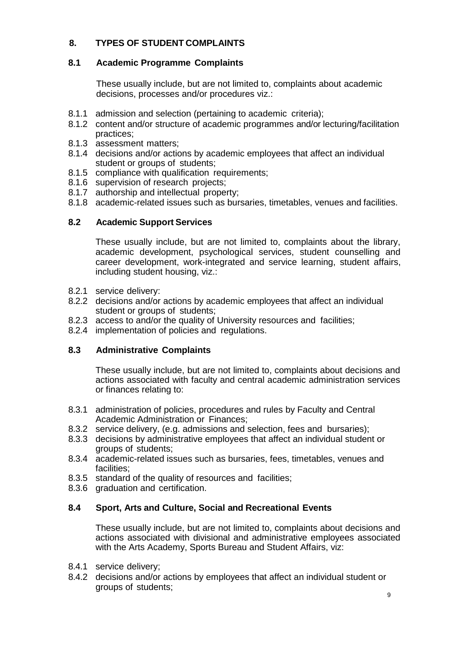# <span id="page-8-0"></span>**8. TYPES OF STUDENT COMPLAINTS**

# <span id="page-8-1"></span>**8.1 Academic Programme Complaints**

These usually include, but are not limited to, complaints about academic decisions, processes and/or procedures viz.:

- 8.1.1 admission and selection (pertaining to academic criteria);
- 8.1.2 content and/or structure of academic programmes and/or lecturing/facilitation practices;
- 8.1.3 assessment matters;
- 8.1.4 decisions and/or actions by academic employees that affect an individual student or groups of students;
- 8.1.5 compliance with qualification requirements;
- 8.1.6 supervision of research projects;
- 8.1.7 authorship and intellectual property;
- 8.1.8 academic-related issues such as bursaries, timetables, venues and facilities.

#### <span id="page-8-2"></span>**8.2 Academic Support Services**

These usually include, but are not limited to, complaints about the library, academic development, psychological services, student counselling and career development, work-integrated and service learning, student affairs, including student housing, viz.:

- 8.2.1 service delivery:
- 8.2.2 decisions and/or actions by academic employees that affect an individual student or groups of students;
- 8.2.3 access to and/or the quality of University resources and facilities;
- 8.2.4 implementation of policies and regulations.

# <span id="page-8-3"></span>**8.3 Administrative Complaints**

These usually include, but are not limited to, complaints about decisions and actions associated with faculty and central academic administration services or finances relating to:

- 8.3.1 administration of policies, procedures and rules by Faculty and Central Academic Administration or Finances;
- 8.3.2 service delivery, (e.g. admissions and selection, fees and bursaries);
- 8.3.3 decisions by administrative employees that affect an individual student or groups of students;
- 8.3.4 academic-related issues such as bursaries, fees, timetables, venues and facilities;
- 8.3.5 standard of the quality of resources and facilities;
- 8.3.6 graduation and certification.

# <span id="page-8-4"></span>**8.4 Sport, Arts and Culture, Social and Recreational Events**

These usually include, but are not limited to, complaints about decisions and actions associated with divisional and administrative employees associated with the Arts Academy, Sports Bureau and Student Affairs, viz:

- 8.4.1 service delivery;
- 8.4.2 decisions and/or actions by employees that affect an individual student or groups of students;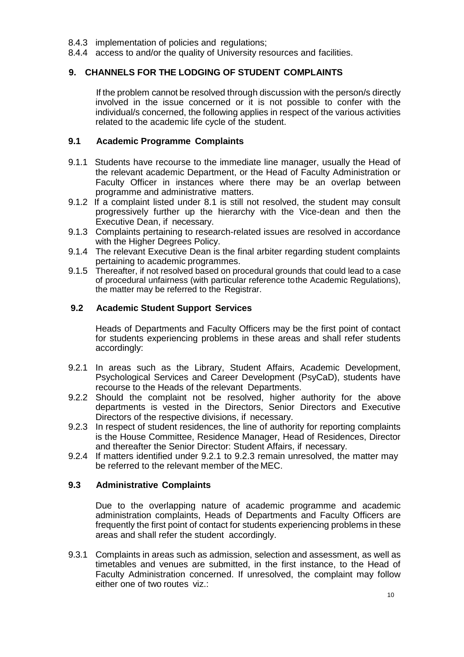- 8.4.3 implementation of policies and regulations;
- 8.4.4 access to and/or the quality of University resources and facilities.

#### <span id="page-9-0"></span>**9. CHANNELS FOR THE LODGING OF STUDENT COMPLAINTS**

If the problem cannot be resolved through discussion with the person/s directly involved in the issue concerned or it is not possible to confer with the individual/s concerned, the following applies in respect of the various activities related to the academic life cycle of the student.

#### <span id="page-9-1"></span>**9.1 Academic Programme Complaints**

- 9.1.1 Students have recourse to the immediate line manager, usually the Head of the relevant academic Department, or the Head of Faculty Administration or Faculty Officer in instances where there may be an overlap between programme and administrative matters.
- 9.1.2 If a complaint listed under 8.1 is still not resolved, the student may consult progressively further up the hierarchy with the Vice-dean and then the Executive Dean, if necessary.
- 9.1.3 Complaints pertaining to research-related issues are resolved in accordance with the Higher Degrees Policy.
- 9.1.4 The relevant Executive Dean is the final arbiter regarding student complaints pertaining to academic programmes.
- 9.1.5 Thereafter, if not resolved based on procedural grounds that could lead to a case of procedural unfairness (with particular reference tothe Academic Regulations), the matter may be referred to the Registrar.

#### <span id="page-9-2"></span>**9.2 Academic Student Support Services**

Heads of Departments and Faculty Officers may be the first point of contact for students experiencing problems in these areas and shall refer students accordingly:

- 9.2.1 In areas such as the Library, Student Affairs, Academic Development, Psychological Services and Career Development (PsyCaD), students have recourse to the Heads of the relevant Departments.
- 9.2.2 Should the complaint not be resolved, higher authority for the above departments is vested in the Directors, Senior Directors and Executive Directors of the respective divisions, if necessary.
- 9.2.3 In respect of student residences, the line of authority for reporting complaints is the House Committee, Residence Manager, Head of Residences, Director and thereafter the Senior Director: Student Affairs, if necessary.
- 9.2.4 If matters identified under 9.2.1 to 9.2.3 remain unresolved, the matter may be referred to the relevant member of the MEC.

# <span id="page-9-3"></span>**9.3 Administrative Complaints**

Due to the overlapping nature of academic programme and academic administration complaints, Heads of Departments and Faculty Officers are frequently the first point of contact for students experiencing problems in these areas and shall refer the student accordingly.

9.3.1 Complaints in areas such as admission, selection and assessment, as well as timetables and venues are submitted, in the first instance, to the Head of Faculty Administration concerned. If unresolved, the complaint may follow either one of two routes viz.: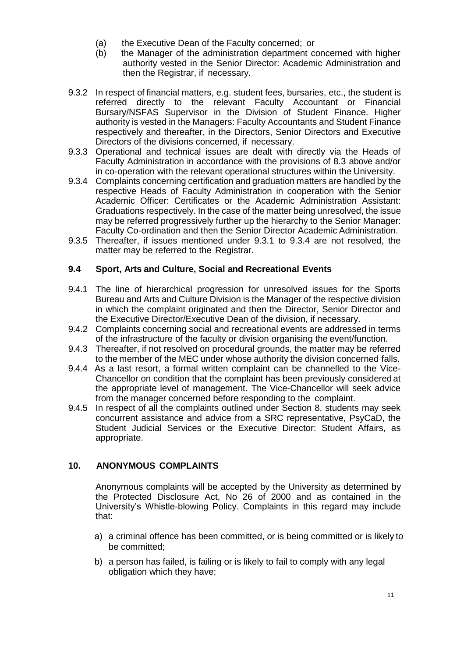- (a) the Executive Dean of the Faculty concerned; or
- (b) the Manager of the administration department concerned with higher authority vested in the Senior Director: Academic Administration and then the Registrar, if necessary.
- 9.3.2 In respect of financial matters, e.g. student fees, bursaries, etc., the student is referred directly to the relevant Faculty Accountant or Financial Bursary/NSFAS Supervisor in the Division of Student Finance. Higher authority is vested in the Managers: Faculty Accountants and Student Finance respectively and thereafter, in the Directors, Senior Directors and Executive Directors of the divisions concerned, if necessary.
- 9.3.3 Operational and technical issues are dealt with directly via the Heads of Faculty Administration in accordance with the provisions of 8.3 above and/or in co-operation with the relevant operational structures within the University.
- 9.3.4 Complaints concerning certification and graduation matters are handled by the respective Heads of Faculty Administration in cooperation with the Senior Academic Officer: Certificates or the Academic Administration Assistant: Graduations respectively. In the case of the matter being unresolved, the issue may be referred progressively further up the hierarchy to the Senior Manager: Faculty Co-ordination and then the Senior Director Academic Administration.
- 9.3.5 Thereafter, if issues mentioned under 9.3.1 to 9.3.4 are not resolved, the matter may be referred to the Registrar.

#### <span id="page-10-0"></span>**9.4 Sport, Arts and Culture, Social and Recreational Events**

- 9.4.1 The line of hierarchical progression for unresolved issues for the Sports Bureau and Arts and Culture Division is the Manager of the respective division in which the complaint originated and then the Director, Senior Director and the Executive Director/Executive Dean of the division, if necessary.
- 9.4.2 Complaints concerning social and recreational events are addressed in terms of the infrastructure of the faculty or division organising the event/function.
- 9.4.3 Thereafter, if not resolved on procedural grounds, the matter may be referred to the member of the MEC under whose authority the division concerned falls.
- 9.4.4 As a last resort, a formal written complaint can be channelled to the Vice-Chancellor on condition that the complaint has been previously considered at the appropriate level of management. The Vice-Chancellor will seek advice from the manager concerned before responding to the complaint.
- 9.4.5 In respect of all the complaints outlined under Section 8, students may seek concurrent assistance and advice from a SRC representative, PsyCaD, the Student Judicial Services or the Executive Director: Student Affairs, as appropriate.

# <span id="page-10-1"></span>**10. ANONYMOUS COMPLAINTS**

Anonymous complaints will be accepted by the University as determined by the Protected Disclosure Act, No 26 of 2000 and as contained in the University's Whistle-blowing Policy. Complaints in this regard may include that:

- a) a criminal offence has been committed, or is being committed or is likely to be committed;
- b) a person has failed, is failing or is likely to fail to comply with any legal obligation which they have;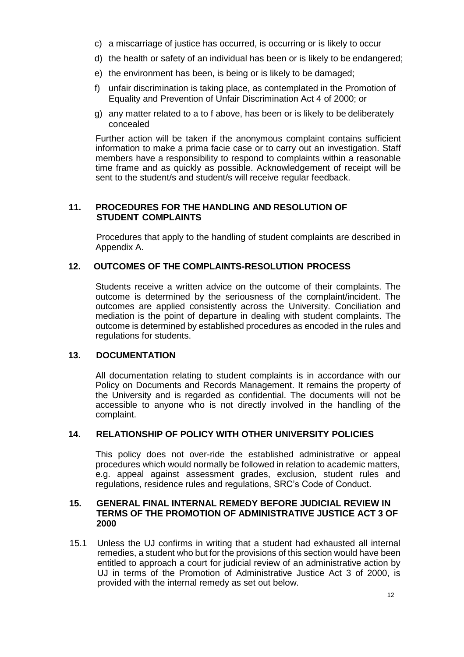- c) a miscarriage of justice has occurred, is occurring or is likely to occur
- d) the health or safety of an individual has been or is likely to be endangered;
- e) the environment has been, is being or is likely to be damaged;
- f) unfair discrimination is taking place, as contemplated in the Promotion of Equality and Prevention of Unfair Discrimination Act 4 of 2000; or
- g) any matter related to a to f above, has been or is likely to be deliberately concealed

Further action will be taken if the anonymous complaint contains sufficient information to make a prima facie case or to carry out an investigation. Staff members have a responsibility to respond to complaints within a reasonable time frame and as quickly as possible. Acknowledgement of receipt will be sent to the student/s and student/s will receive regular feedback.

#### **11. PROCEDURES FOR THE HANDLING AND RESOLUTION OF STUDENT COMPLAINTS**

Procedures that apply to the handling of student complaints are described in Appendix A.

# <span id="page-11-0"></span>**12. OUTCOMES OF THE COMPLAINTS-RESOLUTION PROCESS**

Students receive a written advice on the outcome of their complaints. The outcome is determined by the seriousness of the complaint/incident. The outcomes are applied consistently across the University. Conciliation and mediation is the point of departure in dealing with student complaints. The outcome is determined by established procedures as encoded in the rules and regulations for students.

#### <span id="page-11-1"></span>**13. DOCUMENTATION**

All documentation relating to student complaints is in accordance with our Policy on Documents and Records Management. It remains the property of the University and is regarded as confidential. The documents will not be accessible to anyone who is not directly involved in the handling of the complaint.

#### **14. RELATIONSHIP OF POLICY WITH OTHER UNIVERSITY POLICIES**

This policy does not over-ride the established administrative or appeal procedures which would normally be followed in relation to academic matters, e.g. appeal against assessment grades, exclusion, student rules and regulations, residence rules and regulations, SRC's Code of Conduct.

#### **15. GENERAL FINAL INTERNAL REMEDY BEFORE JUDICIAL REVIEW IN TERMS OF THE PROMOTION OF ADMINISTRATIVE JUSTICE ACT 3 OF 2000**

15.1 Unless the UJ confirms in writing that a student had exhausted all internal remedies, a student who but for the provisions of this section would have been entitled to approach a court for judicial review of an administrative action by UJ in terms of the Promotion of Administrative Justice Act 3 of 2000, is provided with the internal remedy as set out below.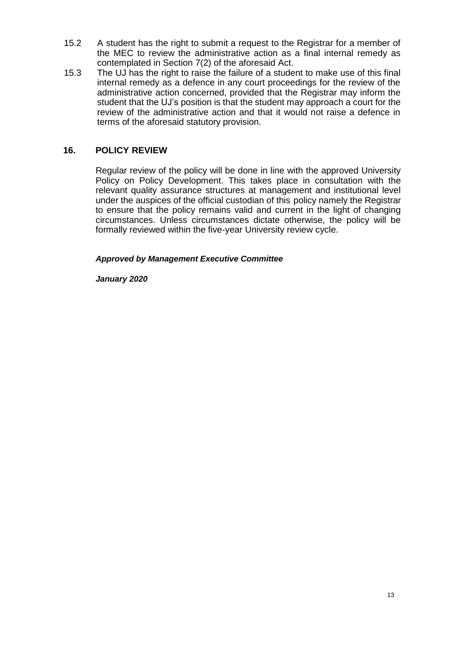- 15.2 A student has the right to submit a request to the Registrar for a member of the MEC to review the administrative action as a final internal remedy as contemplated in Section 7(2) of the aforesaid Act.
- 15.3 The UJ has the right to raise the failure of a student to make use of this final internal remedy as a defence in any court proceedings for the review of the administrative action concerned, provided that the Registrar may inform the student that the UJ's position is that the student may approach a court for the review of the administrative action and that it would not raise a defence in terms of the aforesaid statutory provision.

# <span id="page-12-0"></span>**16. POLICY REVIEW**

Regular review of the policy will be done in line with the approved University Policy on Policy Development. This takes place in consultation with the relevant quality assurance structures at management and institutional level under the auspices of the official custodian of this policy namely the Registrar to ensure that the policy remains valid and current in the light of changing circumstances. Unless circumstances dictate otherwise, the policy will be formally reviewed within the five-year University review cycle.

#### *Approved by Management Executive Committee*

*January 2020*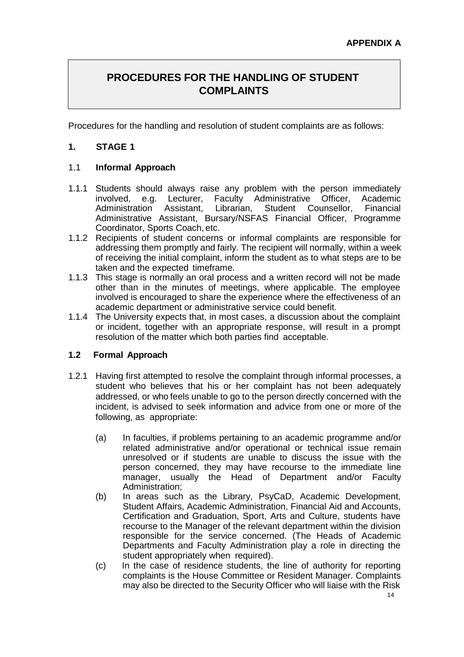# <span id="page-13-0"></span>**PROCEDURES FOR THE HANDLING OF STUDENT COMPLAINTS**

Procedures for the handling and resolution of student complaints are as follows:

# **1. STAGE 1**

#### 1.1 **Informal Approach**

- 1.1.1 Students should always raise any problem with the person immediately involved, e.g. Lecturer, Faculty Administrative Officer, Academic Administration Assistant, Librarian, Student Counsellor, Financial Administrative Assistant, Bursary/NSFAS Financial Officer, Programme Coordinator, Sports Coach, etc.
- 1.1.2 Recipients of student concerns or informal complaints are responsible for addressing them promptly and fairly. The recipient will normally, within a week of receiving the initial complaint, inform the student as to what steps are to be taken and the expected timeframe.
- 1.1.3 This stage is normally an oral process and a written record will not be made other than in the minutes of meetings, where applicable. The employee involved is encouraged to share the experience where the effectiveness of an academic department or administrative service could benefit.
- 1.1.4 The University expects that, in most cases, a discussion about the complaint or incident, together with an appropriate response, will result in a prompt resolution of the matter which both parties find acceptable.

#### **1.2 Formal Approach**

- 1.2.1 Having first attempted to resolve the complaint through informal processes, a student who believes that his or her complaint has not been adequately addressed, or who feels unable to go to the person directly concerned with the incident, is advised to seek information and advice from one or more of the following, as appropriate:
	- (a) In faculties, if problems pertaining to an academic programme and/or related administrative and/or operational or technical issue remain unresolved or if students are unable to discuss the issue with the person concerned, they may have recourse to the immediate line manager, usually the Head of Department and/or Faculty Administration;
	- (b) In areas such as the Library, PsyCaD, Academic Development, Student Affairs, Academic Administration, Financial Aid and Accounts, Certification and Graduation, Sport, Arts and Culture, students have recourse to the Manager of the relevant department within the division responsible for the service concerned. (The Heads of Academic Departments and Faculty Administration play a role in directing the student appropriately when required).
	- (c) In the case of residence students, the line of authority for reporting complaints is the House Committee or Resident Manager. Complaints may also be directed to the Security Officer who will liaise with the Risk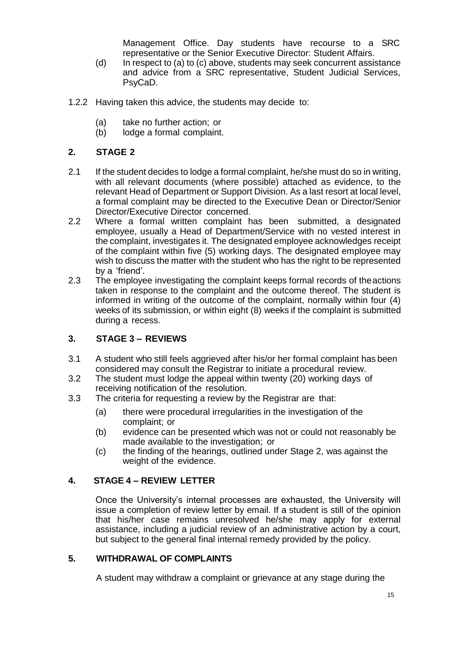Management Office. Day students have recourse to a SRC representative or the Senior Executive Director: Student Affairs.

- (d) In respect to (a) to (c) above, students may seek concurrent assistance and advice from a SRC representative, Student Judicial Services, PsyCaD.
- 1.2.2 Having taken this advice, the students may decide to:
	- (a) take no further action; or
	- (b) lodge a formal complaint.

# **2. STAGE 2**

- 2.1 If the student decides to lodge a formal complaint, he/she must do so in writing, with all relevant documents (where possible) attached as evidence, to the relevant Head of Department or Support Division. As a last resort at local level, a formal complaint may be directed to the Executive Dean or Director/Senior Director/Executive Director concerned.
- 2.2 Where a formal written complaint has been submitted, a designated employee, usually a Head of Department/Service with no vested interest in the complaint, investigates it. The designated employee acknowledges receipt of the complaint within five (5) working days. The designated employee may wish to discuss the matter with the student who has the right to be represented by a 'friend'.
- 2.3 The employee investigating the complaint keeps formal records of theactions taken in response to the complaint and the outcome thereof. The student is informed in writing of the outcome of the complaint, normally within four (4) weeks of its submission, or within eight (8) weeks if the complaint is submitted during a recess.

# **3. STAGE 3 – REVIEWS**

- 3.1 A student who still feels aggrieved after his/or her formal complaint has been considered may consult the Registrar to initiate a procedural review.
- 3.2 The student must lodge the appeal within twenty (20) working days of receiving notification of the resolution.
- 3.3 The criteria for requesting a review by the Registrar are that:
	- (a) there were procedural irregularities in the investigation of the complaint; or
	- (b) evidence can be presented which was not or could not reasonably be made available to the investigation; or
	- (c) the finding of the hearings, outlined under Stage 2, was against the weight of the evidence.

# **4. STAGE 4 – REVIEW LETTER**

Once the University's internal processes are exhausted, the University will issue a completion of review letter by email. If a student is still of the opinion that his/her case remains unresolved he/she may apply for external assistance, including a judicial review of an administrative action by a court, but subject to the general final internal remedy provided by the policy.

# **5. WITHDRAWAL OF COMPLAINTS**

A student may withdraw a complaint or grievance at any stage during the